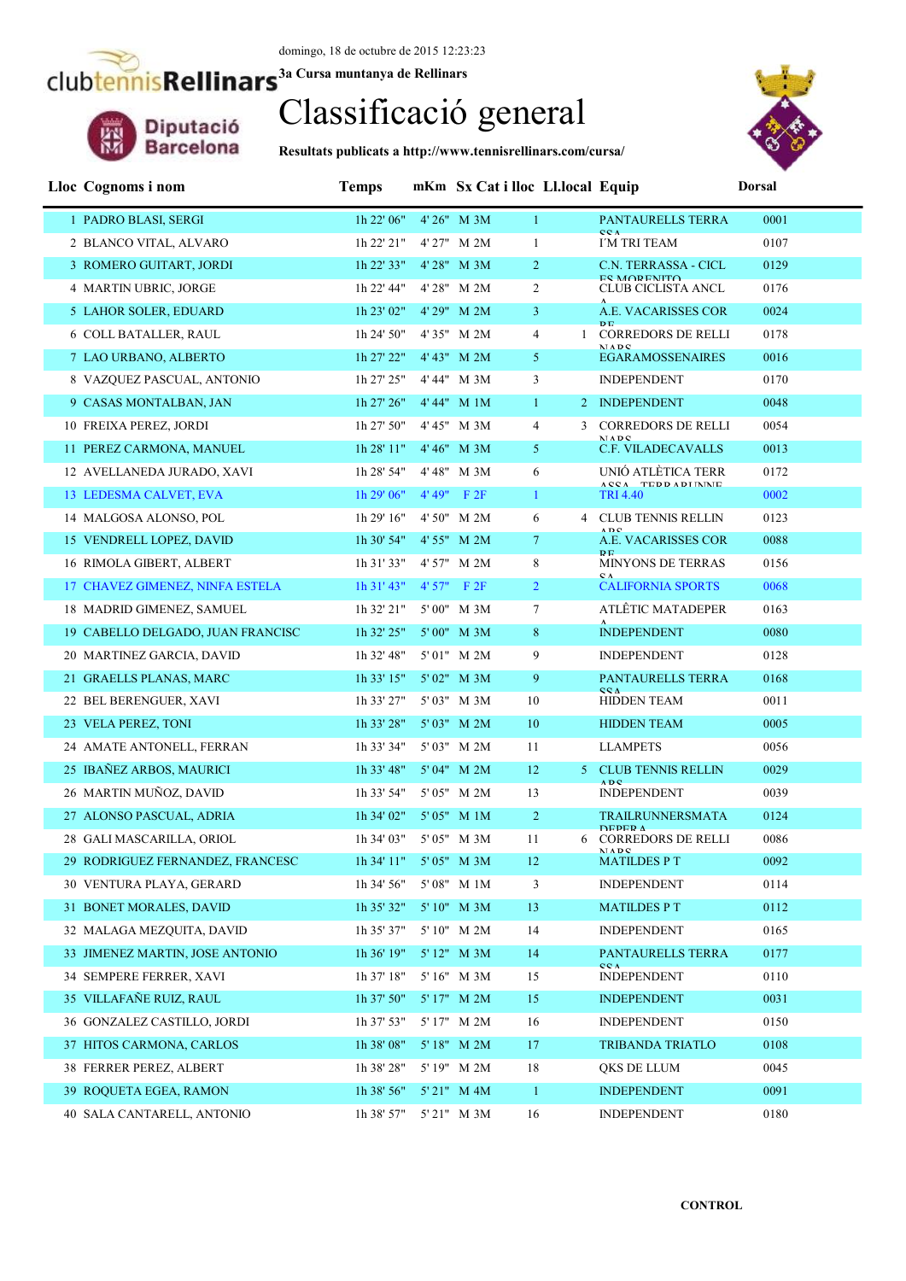Diputació<br>Barcelona

# Classificació general

**Resultats publicats a http://www.tennisrellinars.com/cursa/**



| Lloc Cognoms i nom                | <b>Temps</b>           |                  | mKm Sx Cat i lloc Ll.local Equip |                                                 | <b>Dorsal</b> |
|-----------------------------------|------------------------|------------------|----------------------------------|-------------------------------------------------|---------------|
| 1 PADRO BLASI, SERGI              | 1h 22' 06"             | 4' 26" M 3M      | 1                                | PANTAURELLS TERRA                               | 0001          |
| 2 BLANCO VITAL, ALVARO            | 1h 22' 21"             | 4' 27" M 2M      | $\mathbf{1}$                     | CCA<br>I'M TRI TEAM                             | 0107          |
| 3 ROMERO GUITART, JORDI           | 1h 22' 33"             | 4' 28" M 3M      | $\overline{2}$                   | C.N. TERRASSA - CICL                            | 0129          |
| 4 MARTIN UBRIC, JORGE             | 1h 22' 44"             | 4'28" M 2M       | $\overline{2}$                   | <b>ES MODENITO</b><br><b>CLUB CICLISTA ANCL</b> | 0176          |
| 5 LAHOR SOLER, EDUARD             | 1h 23' 02"             | 4' 29" M 2M      | 3 <sup>7</sup>                   | A.E. VACARISSES COR<br>D <sub>D</sub>           | 0024          |
| 6 COLL BATALLER, RAUL             | 1h 24' 50"             | 4'35" M 2M       | $\overline{4}$                   | <b>CORREDORS DE RELLI</b><br>MADC               | 0178          |
| 7 LAO URBANO, ALBERTO             | 1h 27' 22"             | 4' 43" M 2M      | $\mathfrak{S}$                   | <b>EGARAMOSSENAIRES</b>                         | 0016          |
| 8 VAZQUEZ PASCUAL, ANTONIO        | 1h 27' 25"             | 4' 44" M 3M      | 3                                | <b>INDEPENDENT</b>                              | 0170          |
| 9 CASAS MONTALBAN, JAN            | 1h 27' 26"             | 4' 44" M 1M      | $\mathbf{1}$                     | 2 INDEPENDENT                                   | 0048          |
| 10 FREIXA PEREZ, JORDI            | 1h 27' 50"             | 4' 45" M 3M      | $\overline{4}$<br>3              | <b>CORREDORS DE RELLI</b><br>MADC               | 0054          |
| 11 PEREZ CARMONA, MANUEL          | 1h 28' 11"             | 4' 46" M 3M      | 5 <sup>5</sup>                   | C.F. VILADECAVALLS                              | 0013          |
| 12 AVELLANEDA JURADO, XAVI        | 1h 28' 54"             | 4' 48" M 3M      | 6                                | UNIÓ ATLÈTICA TERR<br>ACCA TEDDADINAIE          | 0172          |
| 13 LEDESMA CALVET, EVA            | 1h 29' 06"             | $4' 49''$ F $2F$ | $\mathbf{1}$                     | <b>TRI 4.40</b>                                 | 0002          |
| 14 MALGOSA ALONSO, POL            | 1h 29' 16"             | 4' 50" M 2M      | 6                                | 4 CLUB TENNIS RELLIN<br>ADC                     | 0123          |
| 15 VENDRELL LOPEZ, DAVID          | $1h\,30'$ 54"          | 4' 55" M 2M      | $\tau$                           | A.E. VACARISSES COR<br>D <sub>E</sub>           | 0088          |
| 16 RIMOLA GIBERT, ALBERT          | 1h 31' 33"             | 4' 57" M 2M      | 8                                | <b>MINYONS DE TERRAS</b><br>$C_A$               | 0156          |
| 17 CHAVEZ GIMENEZ, NINFA ESTELA   | 1h 31' 43"             | $4'57''$ F $2F$  | $\overline{2}$                   | <b>CALIFORNIA SPORTS</b>                        | 0068          |
| 18 MADRID GIMENEZ, SAMUEL         | 1h 32' 21"             | 5'00" M 3M       | $\tau$                           | ATLÊTIC MATADEPER                               | 0163          |
| 19 CABELLO DELGADO, JUAN FRANCISC | $1h$ 32' 25"           | 5'00" M 3M       | 8                                | <b>INDEPENDENT</b>                              | 0080          |
| 20 MARTINEZ GARCIA, DAVID         | 1h 32' 48"             | 5'01" M 2M       | 9                                | <b>INDEPENDENT</b>                              | 0128          |
| 21 GRAELLS PLANAS, MARC           | 1h 33' 15"             | 5' 02" M 3M      | 9                                | PANTAURELLS TERRA<br><b>CCA</b>                 | 0168          |
| 22 BEL BERENGUER, XAVI            | 1h 33' 27"             | 5' 03" M 3M      | 10                               | HIDDEN TEAM                                     | 0011          |
| 23 VELA PEREZ, TONI               | 1h 33' 28"             | 5' 03" M 2M      | 10                               | <b>HIDDEN TEAM</b>                              | 0005          |
| 24 AMATE ANTONELL, FERRAN         | 1h 33' 34"             | 5' 03" M 2M      | 11                               | <b>LLAMPETS</b>                                 | 0056          |
| 25 IBAÑEZ ARBOS, MAURICI          | 1h 33' 48"             | 5' 04" M 2M      | 12                               | <b>CLUB TENNIS RELLIN</b><br>5.<br><b>ADC</b>   | 0029          |
| 26 MARTIN MUÑOZ, DAVID            | 1h 33' 54"             | 5' 05" M 2M      | 13                               | <b>INDEPENDENT</b>                              | 0039          |
| 27 ALONSO PASCUAL, ADRIA          | 1h 34' 02"             | 5' 05" M 1M      | $\overline{2}$                   | <b>TRAILRUNNERSMATA</b><br><b>DEDED A</b>       | 0124          |
| 28 GALI MASCARILLA, ORIOL         | 1h 34' 03"             | 5' 05" M 3M      | 11<br>6                          | CORREDORS DE RELLI<br><b>MADC</b>               | 0086          |
| 29 RODRIGUEZ FERNANDEZ, FRANCESC  | 1h 34' 11" 5' 05" M 3M |                  | 12                               | <b>MATILDES P T</b>                             | 0092          |
| 30 VENTURA PLAYA, GERARD          | 1h 34' 56"             | 5' 08" M 1M      | 3                                | <b>INDEPENDENT</b>                              | 0114          |
| 31 BONET MORALES, DAVID           | 1h 35' 32"             | 5' 10" M 3M      | 13                               | <b>MATILDES P T</b>                             | 0112          |
| 32 MALAGA MEZQUITA, DAVID         | 1h 35' 37"             | 5' 10" M 2M      | 14                               | <b>INDEPENDENT</b>                              | 0165          |
| 33 JIMENEZ MARTIN, JOSE ANTONIO   | $1h\,36'$ $19"$        | 5' 12" M 3M      | 14                               | PANTAURELLS TERRA<br><b>CCA</b>                 | 0177          |
| 34 SEMPERE FERRER, XAVI           | 1h 37' 18"             | 5' 16" M 3M      | 15                               | <b>INDEPENDENT</b>                              | 0110          |
| 35 VILLAFAÑE RUIZ, RAUL           | 1h 37' 50"             | 5' 17" M 2M      | 15                               | <b>INDEPENDENT</b>                              | 0031          |
| 36 GONZALEZ CASTILLO, JORDI       | 1h 37' 53"             | 5' 17" M 2M      | 16                               | <b>INDEPENDENT</b>                              | 0150          |
| 37 HITOS CARMONA, CARLOS          | 1h 38' 08"             | 5' 18" M 2M      | 17                               | <b>TRIBANDA TRIATLO</b>                         | 0108          |
| 38 FERRER PEREZ, ALBERT           | 1h 38' 28"             | 5' 19" M 2M      | 18                               | QKS DE LLUM                                     | 0045          |
| 39 ROQUETA EGEA, RAMON            | 1h 38' 56"             | 5' 21" M 4M      | $\mathbf{1}$                     | <b>INDEPENDENT</b>                              | 0091          |
| 40 SALA CANTARELL, ANTONIO        | 1h 38' 57"             | 5' 21" M 3M      | 16                               | <b>INDEPENDENT</b>                              | 0180          |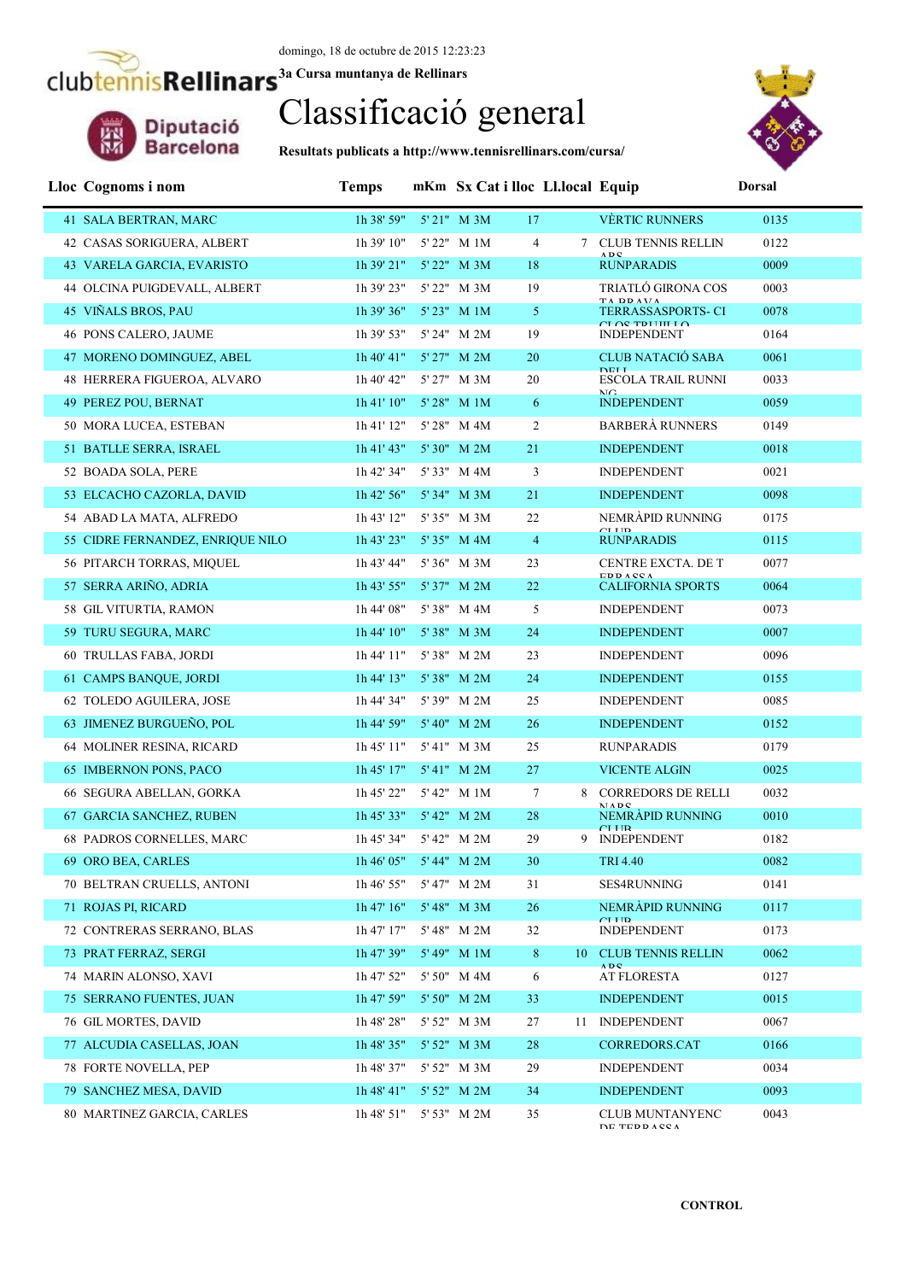Diputació<br>Barcelona

## Classificació general

**Resultats publicats a http://www.tennisrellinars.com/cursa/**



| Lloc Cognoms i nom               | <b>Temps</b>           |                 | mKm Sx Cat i lloc Ll.local Equip |    |                                                                                                                                                                                                    | <b>Dorsal</b> |
|----------------------------------|------------------------|-----------------|----------------------------------|----|----------------------------------------------------------------------------------------------------------------------------------------------------------------------------------------------------|---------------|
| 41 SALA BERTRAN, MARC            | 1h 38' 59"             | 5' 21" M 3M     | 17                               |    | <b>VÈRTIC RUNNERS</b>                                                                                                                                                                              | 0135          |
| 42 CASAS SORIGUERA, ALBERT       | 1h 39' 10"             | 5' 22" M 1M     | $\overline{4}$                   |    | 7 CLUB TENNIS RELLIN                                                                                                                                                                               | 0122          |
| 43 VARELA GARCIA, EVARISTO       | 1h 39' 21"             | 5' 22" M 3M     | 18                               |    | ADC<br><b>RUNPARADIS</b>                                                                                                                                                                           | 0009          |
| 44 OLCINA PUIGDEVALL, ALBERT     | 1h 39' 23"             | 5' 22" M 3M     | 19                               |    | TRIATLÓ GIRONA COS                                                                                                                                                                                 | 0003          |
| 45 VIÑALS BROS, PAU              | 1h 39' 36"             | 5' 23" M 1M     | 5 <sup>5</sup>                   |    | TA DD AVA<br>TERRASSASPORTS-CI                                                                                                                                                                     | 0078          |
| 46 PONS CALERO, JAUME            | 1h 39' 53"             | 5' 24" M 2M     | 19                               |    | $CL$ $\cap$ $CL$ $\cap$ $CL$ $\cap$ $CL$ $\cap$ $CL$ $\cap$ $CL$ $\cap$ $CL$ $\cap$ $CL$ $\cap$ $CL$ $\cap$ $CL$ $\cap$ $CL$ $\cap$ $CL$ $\cap$ $CL$ $\cap$ $CL$ $\cap$ $CL$<br><b>INDEPENDENT</b> | 0164          |
| 47 MORENO DOMINGUEZ, ABEL        | 1h 40' 41"             | 5' 27" M 2M     | 20                               |    | <b>CLUB NATACIÓ SABA</b>                                                                                                                                                                           | 0061          |
| 48 HERRERA FIGUEROA, ALVARO      | 1h 40' 42"             | 5' 27" M 3M     | 20                               |    | <b>DELL</b><br>ESCOLA TRAIL RUNNI                                                                                                                                                                  | 0033          |
| 49 PEREZ POU, BERNAT             | 1h 41' 10"             | 5' 28" M 1M     | 6                                |    | $\overline{\text{MC}}$<br><b>INDEPENDENT</b>                                                                                                                                                       | 0059          |
| 50 MORA LUCEA, ESTEBAN           | 1h 41' 12"             | 5' 28" M 4M     | $\overline{c}$                   |    | <b>BARBERÀ RUNNERS</b>                                                                                                                                                                             | 0149          |
| 51 BATLLE SERRA, ISRAEL          | 1h 41' 43"             | $5'30''$ M $2M$ | 21                               |    | <b>INDEPENDENT</b>                                                                                                                                                                                 | 0018          |
| 52 BOADA SOLA, PERE              | 1h 42' 34"             | 5' 33" M 4M     | 3                                |    | <b>INDEPENDENT</b>                                                                                                                                                                                 | 0021          |
| 53 ELCACHO CAZORLA, DAVID        | 1h 42' 56"             | 5' 34" M 3M     | 21                               |    | <b>INDEPENDENT</b>                                                                                                                                                                                 | 0098          |
| 54 ABAD LA MATA, ALFREDO         | 1h 43' 12"             | 5' 35" M 3M     | 22                               |    | NEMRÀPID RUNNING                                                                                                                                                                                   | 0175          |
| 55 CIDRE FERNANDEZ, ENRIQUE NILO | 1h 43' 23"             | 5' 35" M 4M     | $\overline{4}$                   |    | CITID<br><b>RUNPARADIS</b>                                                                                                                                                                         | 0115          |
| 56 PITARCH TORRAS, MIQUEL        | 1h 43' 44"             | 5' 36" M 3M     | 23                               |    | CENTRE EXCTA. DE T                                                                                                                                                                                 | 0077          |
| 57 SERRA ARIÑO, ADRIA            | 1h 43' 55"             | 5'37" M 2M      | 22                               |    | <b>EDDACCA</b><br><b>CALIFORNIA SPORTS</b>                                                                                                                                                         | 0064          |
| 58 GIL VITURTIA, RAMON           | 1h 44' 08"             | 5' 38" M 4M     | 5                                |    | <b>INDEPENDENT</b>                                                                                                                                                                                 | 0073          |
| 59 TURU SEGURA, MARC             | 1h 44' 10"             | 5'38" M 3M      | 24                               |    | <b>INDEPENDENT</b>                                                                                                                                                                                 | 0007          |
| 60 TRULLAS FABA, JORDI           | 1h 44' 11"             | 5'38" M 2M      | 23                               |    | <b>INDEPENDENT</b>                                                                                                                                                                                 | 0096          |
| 61 CAMPS BANQUE, JORDI           | 1h 44' 13"             | 5'38" M 2M      | 24                               |    | <b>INDEPENDENT</b>                                                                                                                                                                                 | 0155          |
| 62 TOLEDO AGUILERA, JOSE         | 1h 44' 34"             | 5' 39" M 2M     | 25                               |    | <b>INDEPENDENT</b>                                                                                                                                                                                 | 0085          |
| 63 JIMENEZ BURGUEÑO, POL         | 1h 44' 59"             | 5' 40" M 2M     | 26                               |    | <b>INDEPENDENT</b>                                                                                                                                                                                 | 0152          |
| 64 MOLINER RESINA, RICARD        | 1h 45' 11"             | 5'41" M 3M      | 25                               |    | <b>RUNPARADIS</b>                                                                                                                                                                                  | 0179          |
| 65 IMBERNON PONS, PACO           | 1h 45' 17"             | 5' 41" M 2M     | 27                               |    | <b>VICENTE ALGIN</b>                                                                                                                                                                               | 0025          |
| 66 SEGURA ABELLAN, GORKA         | 1h 45' 22"             | 5' 42" M 1M     | 7                                |    | 8 CORREDORS DE RELLI<br>MADO                                                                                                                                                                       | 0032          |
| 67 GARCIA SANCHEZ, RUBEN         | 1h 45' 33" 5' 42" M 2M |                 | 28                               |    | NEMRÀPID RUNNING<br>$C$ I IID                                                                                                                                                                      | 0010          |
| 68 PADROS CORNELLES, MARC        | 1h 45' 34" 5' 42" M 2M |                 | 29                               |    | 9 INDEPENDENT                                                                                                                                                                                      | 0182          |
| 69 ORO BEA, CARLES               | 1h 46' 05" 5' 44" M 2M |                 | 30                               |    | TRI 4.40                                                                                                                                                                                           | 0082          |
| 70 BELTRAN CRUELLS, ANTONI       | 1h 46' 55"             | 5' 47" M 2M     | 31                               |    | SES4RUNNING                                                                                                                                                                                        | 0141          |
| 71 ROJAS PI, RICARD              | 1h 47' 16"             | 5' 48" M 3M     | 26                               |    | NEMRÀPID RUNNING<br>$C$ I I ID                                                                                                                                                                     | 0117          |
| 72 CONTRERAS SERRANO, BLAS       | 1h 47' 17"             | 5' 48" M 2M     | 32                               |    | <b>INDEPENDENT</b>                                                                                                                                                                                 | 0173          |
| 73 PRAT FERRAZ, SERGI            | 1h 47' 39"             | 5' 49" M 1M     | 8                                | 10 | <b>CLUB TENNIS RELLIN</b><br>ADC.                                                                                                                                                                  | 0062          |
| 74 MARIN ALONSO, XAVI            | 1h 47' 52"             | 5' 50" M 4M     | 6                                |    | AT FLORESTA                                                                                                                                                                                        | 0127          |
| 75 SERRANO FUENTES, JUAN         | 1h 47' 59"             | 5' 50" M 2M     | 33                               |    | <b>INDEPENDENT</b>                                                                                                                                                                                 | 0015          |
| 76 GIL MORTES, DAVID             | 1h 48' 28"             | 5' 52" M 3M     | 27                               |    | 11 INDEPENDENT                                                                                                                                                                                     | 0067          |
| 77 ALCUDIA CASELLAS, JOAN        | 1h48'35"               | 5' 52" M 3M     | 28                               |    | <b>CORREDORS.CAT</b>                                                                                                                                                                               | 0166          |
| 78 FORTE NOVELLA, PEP            | 1h 48' 37"             | 5' 52" M 3M     | 29                               |    | <b>INDEPENDENT</b>                                                                                                                                                                                 | 0034          |
| 79 SANCHEZ MESA, DAVID           | 1h 48' 41"             | 5' 52" M 2M     | 34                               |    | <b>INDEPENDENT</b>                                                                                                                                                                                 | 0093          |
| 80 MARTINEZ GARCIA, CARLES       | 1h 48' 51"             | 5' 53" M 2M     | 35                               |    | <b>CLUB MUNTANYENC</b><br><b>DE TEDDACCA</b>                                                                                                                                                       | 0043          |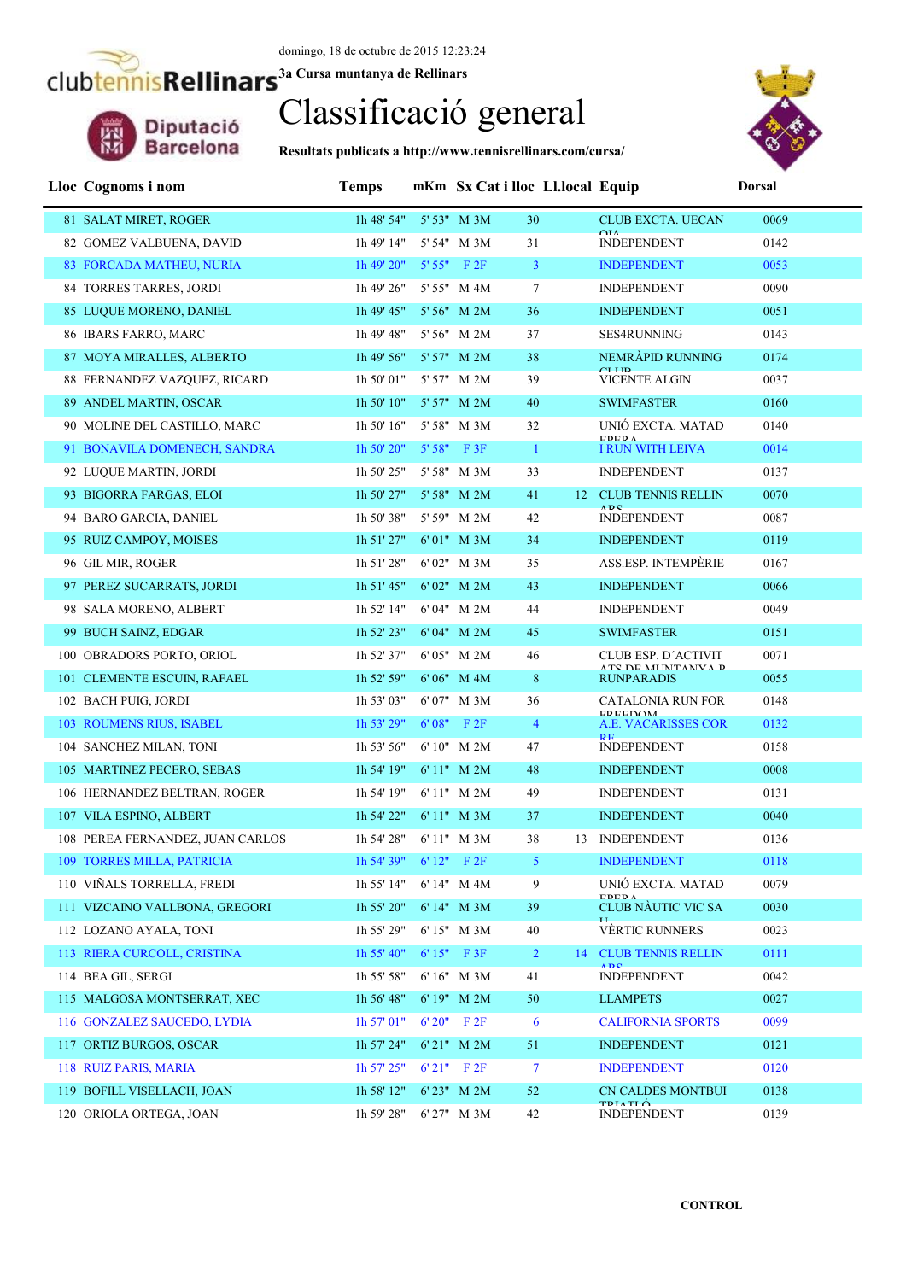

# Classificació general

**Resultats publicats a http://www.tennisrellinars.com/cursa/**



| Lloc Cognoms i nom               | <b>Temps</b>                     |                  | mKm Sx Cat i lloc Ll.local Equip |                 |                                              | <b>Dorsal</b> |
|----------------------------------|----------------------------------|------------------|----------------------------------|-----------------|----------------------------------------------|---------------|
| 81 SALAT MIRET, ROGER            | 1h 48' 54"                       | 5' 53" M 3M      | 30                               |                 | <b>CLUB EXCTA. UECAN</b>                     | 0069          |
| 82 GOMEZ VALBUENA, DAVID         | 1h 49' 14"                       | 5' 54" M 3M      | 31                               | $\triangle IA$  | <b>INDEPENDENT</b>                           | 0142          |
| 83 FORCADA MATHEU, NURIA         | 1h 49' 20"                       | $5'55''$ F $2F$  | 3 <sup>1</sup>                   |                 | <b>INDEPENDENT</b>                           | 0053          |
| 84 TORRES TARRES, JORDI          | 1h 49' 26"                       | 5' 55" M 4M      | $\tau$                           |                 | <b>INDEPENDENT</b>                           | 0090          |
| 85 LUQUE MORENO, DANIEL          | 1h 49' 45"                       | 5' 56" M 2M      | 36                               |                 | <b>INDEPENDENT</b>                           | 0051          |
| 86 IBARS FARRO, MARC             | 1h 49' 48"                       | 5' 56" M 2M      | 37                               |                 | <b>SES4RUNNING</b>                           | 0143          |
| 87 MOYA MIRALLES, ALBERTO        | 1h49'56"                         | 5' 57" M 2M      | 38                               |                 | NEMRAPID RUNNING                             | 0174          |
| 88 FERNANDEZ VAZQUEZ, RICARD     | 1h 50' 01"                       | 5' 57" M 2M      | 39                               |                 | $C$ I I $R$<br><b>VICENTE ALGIN</b>          | 0037          |
| 89 ANDEL MARTIN, OSCAR           | 1h 50' 10"                       | 5' 57" M 2M      | 40                               |                 | <b>SWIMFASTER</b>                            | 0160          |
| 90 MOLINE DEL CASTILLO, MARC     | 1h 50' 16"                       | 5' 58" M 3M      | 32                               |                 | UNIÓ EXCTA, MATAD<br><b>EDEDA</b>            | 0140          |
| 91 BONAVILA DOMENECH, SANDRA     | 1h 50' 20"                       | 5' 58" F 3F      | $\mathbf{1}$                     |                 | <b>I RUN WITH LEIVA</b>                      | 0014          |
| 92 LUQUE MARTIN, JORDI           | 1h 50' 25"                       | 5' 58" M 3M      | 33                               |                 | <b>INDEPENDENT</b>                           | 0137          |
| 93 BIGORRA FARGAS, ELOI          | 1h 50' 27"                       | 5' 58" M 2M      | 41                               |                 | 12 CLUB TENNIS RELLIN<br><b>ADC</b>          | 0070          |
| 94 BARO GARCIA, DANIEL           | 1h 50' 38"                       | 5' 59" M 2M      | 42                               |                 | <b>INDEPENDENT</b>                           | 0087          |
| 95 RUIZ CAMPOY, MOISES           | 1h 51' 27"                       | 6'01" M 3M       | 34                               |                 | <b>INDEPENDENT</b>                           | 0119          |
| 96 GIL MIR, ROGER                | 1h 51' 28"                       | $6'02"$ M $3M$   | 35                               |                 | <b>ASS.ESP. INTEMPERIE</b>                   | 0167          |
| 97 PEREZ SUCARRATS, JORDI        | 1h 51' 45"                       | 6'02" M 2M       | 43                               |                 | <b>INDEPENDENT</b>                           | 0066          |
| 98 SALA MORENO, ALBERT           | 1h 52' 14"                       | 6'04" M 2M       | 44                               |                 | <b>INDEPENDENT</b>                           | 0049          |
| 99 BUCH SAINZ, EDGAR             | 1h 52' 23"                       | 6'04" M 2M       | 45                               |                 | <b>SWIMFASTER</b>                            | 0151          |
| 100 OBRADORS PORTO, ORIOL        | 1h 52' 37"                       | 6' 05" M 2M      | 46                               |                 | CLUB ESP. D'ACTIVIT<br>A TC DE MI BITANIVA D | 0071          |
| 101 CLEMENTE ESCUIN, RAFAEL      | 1h 52' 59"                       | $6' 06''$ M $4M$ | $8\phantom{.}$                   |                 | <b>RUNPARADIS</b>                            | 0055          |
| 102 BACH PUIG, JORDI             | 1h 53' 03"                       | 6'07" M 3M       | 36                               |                 | CATALONIA RUN FOR<br><b>EDEEDOM</b>          | 0148          |
| 103 ROUMENS RIUS, ISABEL         | 1h 53' 29"                       | $6'08''$ F $2F$  | $\overline{4}$                   | <b>DE</b>       | A.E. VACARISSES COR                          | 0132          |
| 104 SANCHEZ MILAN, TONI          | 1h 53' 56"                       | $6'10''$ M $2M$  | 47                               |                 | <b>INDEPENDENT</b>                           | 0158          |
| 105 MARTINEZ PECERO, SEBAS       | 1h 54' 19"                       | 6' 11" M 2M      | 48                               |                 | <b>INDEPENDENT</b>                           | 0008          |
| 106 HERNANDEZ BELTRAN, ROGER     | 1h 54' 19"                       | 6' 11" M 2M      | 49                               |                 | <b>INDEPENDENT</b>                           | 0131          |
| 107 VILA ESPINO, ALBERT          | 1h 54' 22"                       | 6'11" M 3M       | 37                               |                 | <b>INDEPENDENT</b>                           | 0040          |
| 108 PEREA FERNANDEZ, JUAN CARLOS | 1h 54' 28"                       | 6'11" M 3M       | 38                               |                 | 13 INDEPENDENT                               | 0136          |
| 109 TORRES MILLA, PATRICIA       | $1h 54' 39''$ 6' $12''$ F $2F$ 5 |                  |                                  |                 | <b>INDEPENDENT</b>                           | 0118          |
| 110 VIÑALS TORRELLA, FREDI       | 1h 55' 14"                       | 6' 14" M 4M      | 9                                |                 | UNIÓ EXCTA. MATAD<br><b>EDED A</b>           | 0079          |
| 111 VIZCAINO VALLBONA, GREGORI   | 1h 55' 20"                       | 6' 14" M 3M      | 39                               | TT.             | CLUB NÀUTIC VIC SA                           | 0030          |
| 112 LOZANO AYALA, TONI           | 1h 55' 29"                       | 6' 15" M 3M      | 40                               |                 | <b>VÈRTIC RUNNERS</b>                        | 0023          |
| 113 RIERA CURCOLL, CRISTINA      | 1h 55' 40''                      | $6' 15''$ F 3F   | $\overline{2}$                   | 14 <sup>1</sup> | <b>CLUB TENNIS RELLIN</b><br><b>ADC</b>      | 0111          |
| 114 BEA GIL, SERGI               | 1h 55' 58"                       | 6' 16" M 3M      | 41                               |                 | <b>INDEPENDENT</b>                           | 0042          |
| 115 MALGOSA MONTSERRAT, XEC      | 1h 56' 48"                       | 6' 19" M 2M      | 50                               |                 | <b>LLAMPETS</b>                              | 0027          |
| 116 GONZALEZ SAUCEDO, LYDIA      | $1h$ 57' 01"                     | $6'20''$ F $2F$  | 6                                |                 | <b>CALIFORNIA SPORTS</b>                     | 0099          |
| 117 ORTIZ BURGOS, OSCAR          | 1h 57' 24"                       | 6' 21" M 2M      | 51                               |                 | <b>INDEPENDENT</b>                           | 0121          |
| 118 RUIZ PARIS, MARIA            | $1h$ 57' $25"$                   | 6'21" F2F        | $\tau$                           |                 | <b>INDEPENDENT</b>                           | 0120          |
| 119 BOFILL VISELLACH, JOAN       | 1h 58' 12"                       | 6' 23" M 2M      | 52                               |                 | <b>CN CALDES MONTBUI</b><br><b>TDIATIÓ</b>   | 0138          |
| 120 ORIOLA ORTEGA, JOAN          | 1h 59' 28"                       | 6' 27" M 3M      | 42                               |                 | <b>INDEPENDENT</b>                           | 0139          |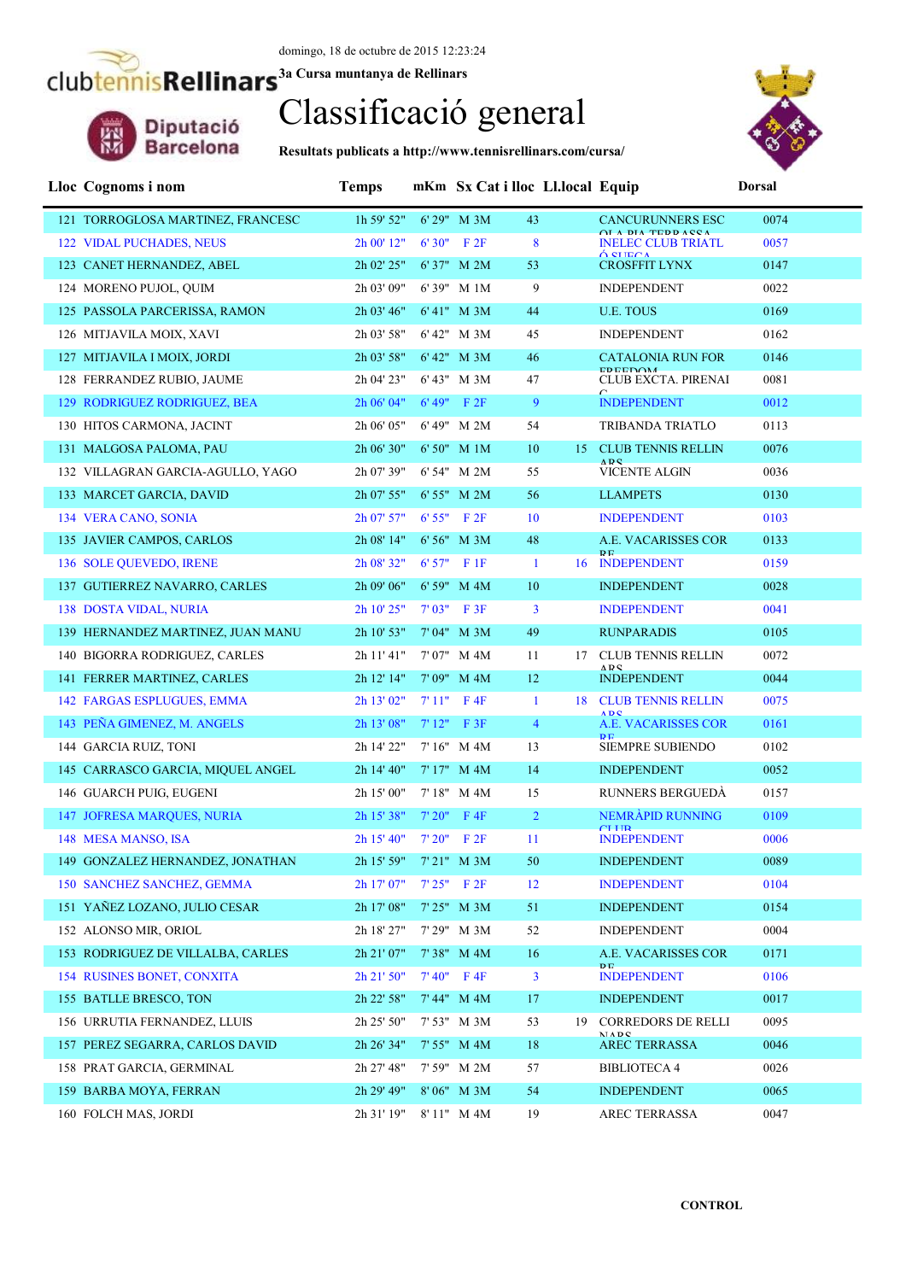

## Classificació general

**Resultats publicats a http://www.tennisrellinars.com/cursa/**



#### **Lloc Cognoms i nom Temps mKm Sx Cat i lloc Ll.local Equip Dorsal** 121 TORROGLOSA MARTINEZ, FRANCESC 1h 59' 52" 6' 29" M 3M 43 CANCURUNNERS ESC 0074 OLA PIA TEPPASSA<br> **INELEC CLUB TRIATL** 0057 122 VIDAL PUCHADES, NEUS 2h 00' 12" 6' 30" F 2F 8 CROSFFIT LYNX 0147 123 CANET HERNANDEZ, ABEL 2h 02' 25" 6' 37" M 2M 53 124 MORENO PUJOL, QUIM 2h 03' 09" 6' 39" M 1M 9 INDEPENDENT 0022 125 PASSOLA PARCERISSA, RAMON 2h 03' 46" 6' 41" M 3M 44 U.E. TOUS 0169 126 MITJAVILA MOIX, XAVI 2h 03' 58" 6' 42" M 3M 45 INDEPENDENT 0162 127 MITJAVILA I MOIX, JORDI 2h 03' 58" 6' 42" M 3M 46 CATALONIA RUN FOR 0146 CLUB EXCTA. PIRENAI 0081 128 FERRANDEZ RUBIO, JAUME 2h 04' 23" 6' 43" M 3M 47 INDEPENDENT 0012 129 RODRIGUEZ RODRIGUEZ, BEA  $2h\ 06' 04''$  6'  $49''$  F  $2F$  9 130 HITOS CARMONA, JACINT 2h 06' 05" 6' 49" M 2M 54 TRIBANDA TRIATLO 0113 131 MALGOSA PALOMA, PAU 2h 06' 30" 6' 50" M 1M 10 15 CLUB TENNIS RELLIN 0076 **NBS**<br>VICENTE ALGIN 132 VILLAGRAN GARCIA-AGULLO, YAGO 2h 07' 39" 6' 54" M 2M 55 VICENTE ALGIN 0036 133 MARCET GARCIA, DAVID 2h 07' 55" 6' 55" M 2M 56 LLAMPETS 0130 134 VERA CANO, SONIA 2h 07' 57" 6' 55" F 2F 10 INDEPENDENT 0103 135 JAVIER CAMPOS, CARLOS 2h 08' 14" 6' 56" M 3M 48 A.E. VACARISSES COR 0133 **INDEPENDENT** 136 SOLE QUEVEDO, IRENE 2h 08' 32" 6' 57" F 1F 1 16 INDEPENDENT 0159 137 GUTIERREZ NAVARRO, CARLES 2h 09' 06" 6' 59" M 4M 10 INDEPENDENT 0028 138 DOSTA VIDAL, NURIA 2h 10' 25" 7' 03" F 3F 3 INDEPENDENT 0041 139 HERNANDEZ MARTINEZ, JUAN MANU 2h 10' 53" 7' 04" M 3M 49 RUNPARADIS 0105 140 BIGORRA RODRIGUEZ, CARLES 2h 11' 41" 7' 07" M 4M 11 17 CLUB TENNIS RELLIN 0072 ADC<br>INDEPENDENT 141 FERRER MARTINEZ, CARLES 2h 12' 14" 7' 09" M 4M 12 INDEPENDENT 0044 142 FARGAS ESPLUGUES, EMMA 2h 13' 02" 7' 11" F 4F 1 18 CLUB TENNIS RELLIN 0075 **ABC**<br>**A E VACARISSES COR** 143 PEÑA GIMENEZ, M. ANGELS 2h 13' 08" 7' 12" F 3F 4 A.E. VACARISSES COR 0161 **SIEMPRE SUBIENDO** 144 GARCIA RUIZ, TONI 2h 14' 22" 7' 16" M 4M 13 SIEMPRE SUBIENDO 0102 145 CARRASCO GARCIA, MIQUEL ANGEL 2h 14' 40" 7' 17" M 4M 14 INDEPENDENT 0052 146 GUARCH PUIG, EUGENI 2h 15' 00" 7' 18" M 4M 15 RUNNERS BERGUEDÀ 0157 147 JOFRESA MARQUES, NURIA 2h 15' 38" 7' 20" F 4F 2 NEMRÀPID RUNNING 0109 **CLUB**<br>INDEPENDENT 0006 148 MESA MANSO, ISA 2h 15' 40" 7' 20" F 2F 11 149 GONZALEZ HERNANDEZ, JONATHAN 2h 15' 59" 7' 21" M 3M 50 INDEPENDENT 0089 150 SANCHEZ SANCHEZ, GEMMA 2h 17' 07" 7' 25" F 2F 12 INDEPENDENT 0104 151 YAÑEZ LOZANO, JULIO CESAR 2h 17' 08" 7' 25" M 3M 51 INDEPENDENT 0154 152 ALONSO MIR. ORIOL 2h 18' 27" 7' 29" M 3M 52 INDEPENDENT 0004 153 RODRIGUEZ DE VILLALBA, CARLES 2h 21' 07" 7' 38" M 4M 16 A.E. VACARISSES COR 0171 **PE**<br>**INDEPENDENT** 154 RUSINES BONET, CONXITA 2h 21' 50" 7' 40" F 4F 3 INDEPENDENT 0106 155 BATLLE BRESCO, TON 2h 22' 58" 7' 44" M 4M 17 INDEPENDENT 0017 156 URRUTIA FERNANDEZ, LLUIS 2h 25' 50" 7' 53" M 3M 53 19 CORREDORS DE RELLI 0095 NADS<br>AREC TERRASSA 157 PEREZ SEGARRA, CARLOS DAVID 2h 26' 34" 7' 55" M 4M 18 AREC TERRASSA 0046 158 PRAT GARCIA, GERMINAL 2h 27' 48" 7' 59" M 2M 57 BIBLIOTECA 4 0026 159 BARBA MOYA, FERRAN 2h 29' 49" 8' 06" M 3M 54 INDEPENDENT 0065 160 FOLCH MAS, JORDI 2h 31' 19" 8' 11" M 4M 19 AREC TERRASSA 0047